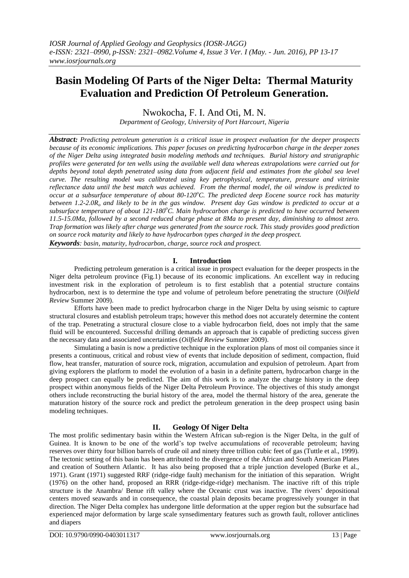# **Basin Modeling Of Parts of the Niger Delta: Thermal Maturity Evaluation and Prediction Of Petroleum Generation.**

Nwokocha, F. I. And Oti, M. N.

*Department of Geology, University of Port Harcourt, Nigeria*

*Abstract: Predicting petroleum generation is a critical issue in prospect evaluation for the deeper prospects because of its economic implications. This paper focuses on predicting hydrocarbon charge in the deeper zones of the Niger Delta using integrated basin modeling methods and techniques. Burial history and stratigraphic profiles were generated for ten wells using the available well data whereas extrapolations were carried out for depths beyond total depth penetrated using data from adjacent field and estimates from the global sea level curve. The resulting model was calibrated using key petrophysical, temperature, pressure and vitrinite reflectance data until the best match was achieved. From the thermal model, the oil window is predicted to occur at a subsurface temperature of about 80-120<sup>o</sup>C. The predicted deep Eocene source rock has maturity between 1.2-2.0R<sup>o</sup> and likely to be in the gas window. Present day Gas window is predicted to occur at a subsurface temperature of about 121-180<sup>o</sup>C. Main hydrocarbon charge is predicted to have occurred between 11.5-15.0Ma, followed by a second reduced charge phase at 8Ma to present day, diminishing to almost zero. Trap formation was likely after charge was generated from the source rock. This study provides good prediction on source rock maturity and likely to have hydrocarbon types charged in the deep prospect.*

*Keywords: basin, maturity, hydrocarbon, charge, source rock and prospect.*

# **I. Introduction**

Predicting petroleum generation is a critical issue in prospect evaluation for the deeper prospects in the Niger delta petroleum province (Fig.1) because of its economic implications. An excellent way in reducing investment risk in the exploration of petroleum is to first establish that a potential structure contains hydrocarbon, next is to determine the type and volume of petroleum before penetrating the structure (*Oilfield Review* Summer 2009).

Efforts have been made to predict hydrocarbon charge in the Niger Delta by using seismic to capture structural closures and establish petroleum traps; however this method does not accurately determine the content of the trap. Penetrating a structural closure close to a viable hydrocarbon field, does not imply that the same fluid will be encountered. Successful drilling demands an approach that is capable of predicting success given the necessary data and associated uncertainties (*Oilfield Review* Summer 2009).

Simulating a basin is now a predictive technique in the exploration plans of most oil companies since it presents a continuous, critical and robust view of events that include deposition of sediment, compaction, fluid flow, heat transfer, maturation of source rock, migration, accumulation and expulsion of petroleum. Apart from giving explorers the platform to model the evolution of a basin in a definite pattern, hydrocarbon charge in the deep prospect can equally be predicted. The aim of this work is to analyze the charge history in the deep prospect within anonymous fields of the Niger Delta Petroleum Province. The objectives of this study amongst others include reconstructing the burial history of the area, model the thermal history of the area, generate the maturation history of the source rock and predict the petroleum generation in the deep prospect using basin modeling techniques.

# **II. Geology Of Niger Delta**

The most prolific sedimentary basin within the Western African sub-region is the Niger Delta, in the gulf of Guinea. It is known to be one of the world's top twelve accumulations of recoverable petroleum; having reserves over thirty four billion barrels of crude oil and ninety three trillion cubic feet of gas (Tuttle et al., 1999). The tectonic setting of this basin has been attributed to the divergence of the African and South American Plates and creation of Southern Atlantic. It has also being proposed that a triple junction developed (Burke et al., 1971). Grant (1971) suggested RRF (ridge-ridge fault) mechanism for the initiation of this separation. Wright (1976) on the other hand, proposed an RRR (ridge-ridge-ridge) mechanism. The inactive rift of this triple structure is the Anambra/ Benue rift valley where the Oceanic crust was inactive. The rivers' depositional centers moved seawards and in consequence, the coastal plain deposits became progressively younger in that direction. The Niger Delta complex has undergone little deformation at the upper region but the subsurface had experienced major deformation by large scale synsedimentary features such as growth fault, rollover anticlines and diapers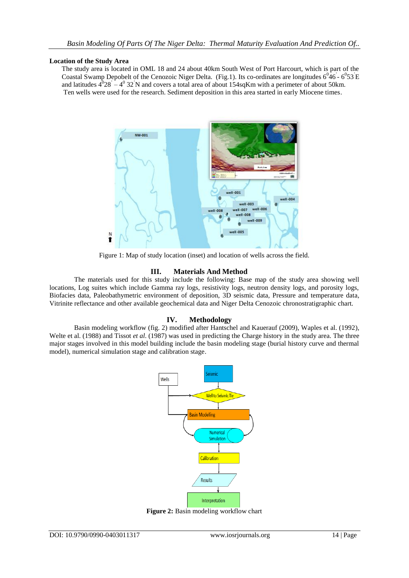#### **Location of the Study Area**

The study area is located in OML 18 and 24 about 40km South West of Port Harcourt, which is part of the Coastal Swamp Depobelt of the Cenozoic Niger Delta. (Fig.1). Its co-ordinates are longitudes  $6^046 - 6^053$  E and latitudes  $4^{0}28^{1} - 4^{0}32^{1}N$  and covers a total area of about 154sqKm with a perimeter of about 50km. Ten wells were used for the research. Sediment deposition in this area started in early Miocene times.



Figure 1: Map of study location (inset) and location of wells across the field.

## **III. Materials And Method**

The materials used for this study include the following: Base map of the study area showing well locations, Log suites which include Gamma ray logs, resistivity logs, neutron density logs, and porosity logs, Biofacies data, Paleobathymetric environment of deposition, 3D seismic data, Pressure and temperature data, Vitrinite reflectance and other available geochemical data and Niger Delta Cenozoic chronostratigraphic chart.

## **IV. Methodology**

Basin modeling workflow (fig. 2) modified after Hantschel and Kauerauf (2009), Waples et al. (1992), Welte et al. (1988) and Tissot *et al*. (1987) was used in predicting the Charge history in the study area. The three major stages involved in this model building include the basin modeling stage (burial history curve and thermal model), numerical simulation stage and calibration stage.



Figure 2: Basin modeling workflow chart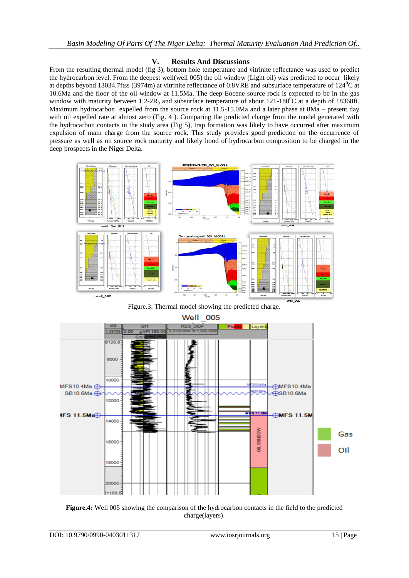# **V. Results And Discussions**

From the resulting thermal model (fig 3), bottom hole temperature and vitrinite reflectance was used to predict the hydrocarbon level. From the deepest well(well 005) the oil window (Light oil) was predicted to occur likely at depths beyond 13034.7ftss (3974m) at vitrinite reflectance of 0.8VRE and subsurface temperature of  $124^{\circ}$ C at 10.6Ma and the floor of the oil window at 11.5Ma. The deep Eocene source rock is expected to be in the gas window with maturity between  $1.2$ -2 $R_0$  and subsurface temperature of about  $121$ -180<sup>0</sup>C at a depth of 18368ft. Maximum hydrocarbon expelled from the source rock at 11.5-15.0Ma and a later phase at 8Ma – present day with oil expelled rate at almost zero (Fig. 4). Comparing the predicted charge from the model generated with the hydrocarbon contacts in the study area (Fig 5), trap formation was likely to have occurred after maximum expulsion of main charge from the source rock. This study provides good prediction on the occurrence of pressure as well as on source rock maturity and likely hood of hydrocarbon composition to be charged in the deep prospects in the Niger Delta.



Figure.3: Thermal model showing the predicted charge.



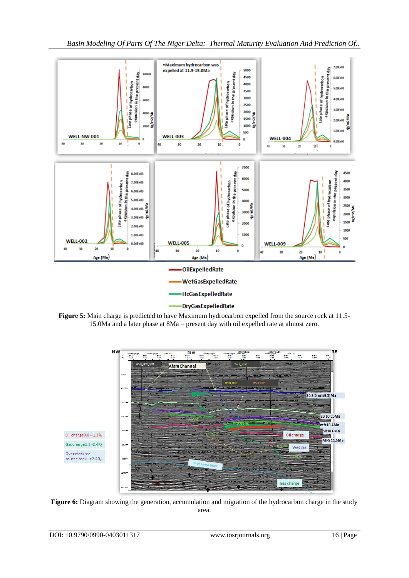

*Basin Modeling Of Parts Of The Niger Delta: Thermal Maturity Evaluation And Prediction Of..*

**Figure 5:** Main charge is predicted to have Maximum hydrocarbon expelled from the source rock at 11.5- 15.0Ma and a later phase at 8Ma – present day with oil expelled rate at almost zero.



**Figure 6:** Diagram showing the generation, accumulation and migration of the hydrocarbon charge in the study area.